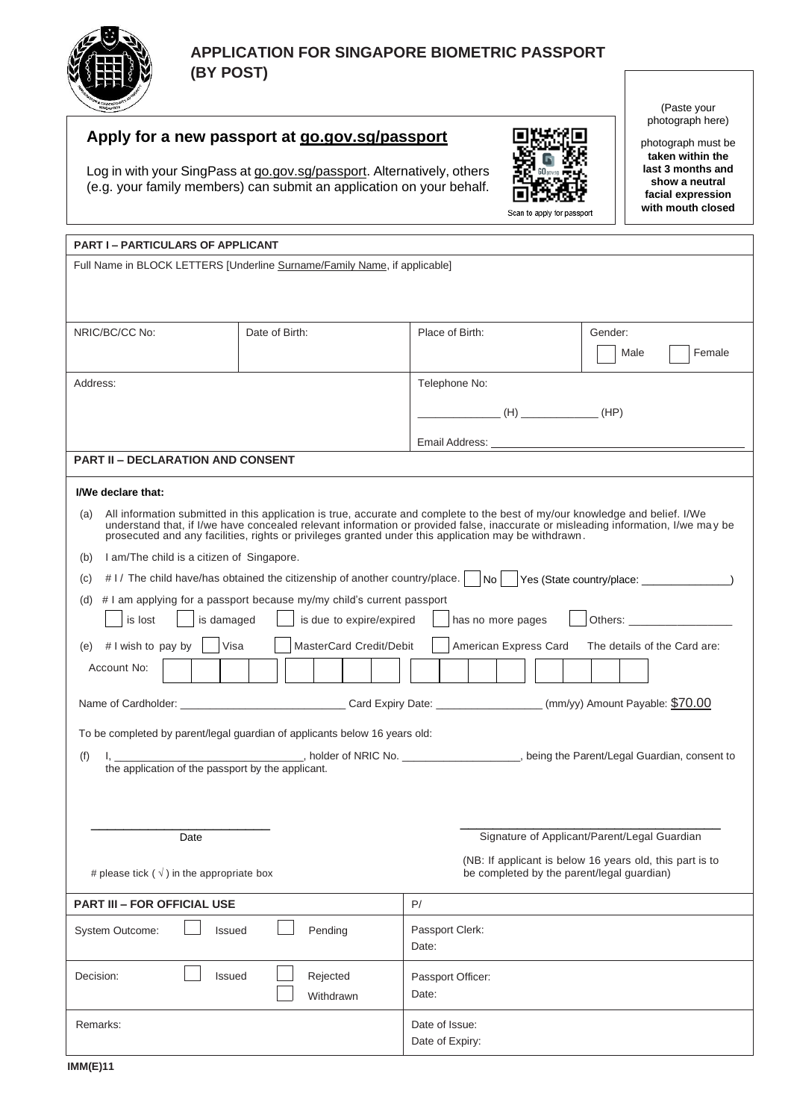

# **Apply for a new passport at [go.gov.sg/passport](https://go.gov.sg/passport)**

Log in with your SingPass at [go.gov.sg/passport.](https://go.gov.sg/passport) Alternatively, others (e.g. your family members) can submit an application on your behalf.



(Paste your photograph here)

photograph must be **taken within the last 3 months and show a neutral facial expression with mouth closed**

| <b>PART I-PARTICULARS OF APPLICANT</b>                                                                                                                                                                                                                                                                                                                                            |                |                                              |                |
|-----------------------------------------------------------------------------------------------------------------------------------------------------------------------------------------------------------------------------------------------------------------------------------------------------------------------------------------------------------------------------------|----------------|----------------------------------------------|----------------|
| Full Name in BLOCK LETTERS [Underline Surname/Family Name, if applicable]                                                                                                                                                                                                                                                                                                         |                |                                              |                |
|                                                                                                                                                                                                                                                                                                                                                                                   |                |                                              |                |
|                                                                                                                                                                                                                                                                                                                                                                                   |                |                                              |                |
| NRIC/BC/CC No:                                                                                                                                                                                                                                                                                                                                                                    | Date of Birth: | Place of Birth:                              | Gender:        |
|                                                                                                                                                                                                                                                                                                                                                                                   |                |                                              | Female<br>Male |
|                                                                                                                                                                                                                                                                                                                                                                                   |                |                                              |                |
| Address:                                                                                                                                                                                                                                                                                                                                                                          |                | Telephone No:                                |                |
|                                                                                                                                                                                                                                                                                                                                                                                   |                |                                              |                |
|                                                                                                                                                                                                                                                                                                                                                                                   |                |                                              |                |
|                                                                                                                                                                                                                                                                                                                                                                                   |                |                                              |                |
| <b>PART II - DECLARATION AND CONSENT</b>                                                                                                                                                                                                                                                                                                                                          |                |                                              |                |
| I/We declare that:                                                                                                                                                                                                                                                                                                                                                                |                |                                              |                |
| All information submitted in this application is true, accurate and complete to the best of my/our knowledge and belief. I/We<br>(a)<br>understand that, if I/we have concealed relevant information or provided false, inaccurate or misleading information, I/we may be<br>prosecuted and any facilities, rights or privileges granted under this application may be withdrawn. |                |                                              |                |
| I am/The child is a citizen of Singapore.<br>(b)                                                                                                                                                                                                                                                                                                                                  |                |                                              |                |
| #1/ The child have/has obtained the citizenship of another country/place.   No   Yes (State country/place: _ _ _ _ _ _ _ _ _<br>(C)                                                                                                                                                                                                                                               |                |                                              |                |
| # I am applying for a passport because my/my child's current passport<br>(d)                                                                                                                                                                                                                                                                                                      |                |                                              |                |
| is due to expire/expired<br>is lost<br>is damaged<br>has no more pages                                                                                                                                                                                                                                                                                                            |                |                                              |                |
| MasterCard Credit/Debit<br>American Express Card<br># I wish to pay by<br>Visa<br>The details of the Card are:<br>(e)                                                                                                                                                                                                                                                             |                |                                              |                |
| Account No:                                                                                                                                                                                                                                                                                                                                                                       |                |                                              |                |
|                                                                                                                                                                                                                                                                                                                                                                                   |                |                                              |                |
| To be completed by parent/legal guardian of applicants below 16 years old:                                                                                                                                                                                                                                                                                                        |                |                                              |                |
|                                                                                                                                                                                                                                                                                                                                                                                   |                |                                              |                |
| (f)<br>the application of the passport by the applicant.                                                                                                                                                                                                                                                                                                                          |                |                                              |                |
|                                                                                                                                                                                                                                                                                                                                                                                   |                |                                              |                |
|                                                                                                                                                                                                                                                                                                                                                                                   |                |                                              |                |
|                                                                                                                                                                                                                                                                                                                                                                                   |                |                                              |                |
| Date                                                                                                                                                                                                                                                                                                                                                                              |                | Signature of Applicant/Parent/Legal Guardian |                |
| (NB: If applicant is below 16 years old, this part is to<br>be completed by the parent/legal guardian)<br># please tick ( $\sqrt{}$ ) in the appropriate box                                                                                                                                                                                                                      |                |                                              |                |
| <b>PART III - FOR OFFICIAL USE</b>                                                                                                                                                                                                                                                                                                                                                |                | P/                                           |                |
| Pending<br><b>System Outcome:</b><br>Issued                                                                                                                                                                                                                                                                                                                                       |                | Passport Clerk:<br>Date:                     |                |
| Decision:<br>Issued<br>Rejected                                                                                                                                                                                                                                                                                                                                                   |                | Passport Officer:                            |                |
|                                                                                                                                                                                                                                                                                                                                                                                   | Withdrawn      | Date:                                        |                |
| Remarks:                                                                                                                                                                                                                                                                                                                                                                          |                | Date of Issue:                               |                |
|                                                                                                                                                                                                                                                                                                                                                                                   |                | Date of Expiry:                              |                |